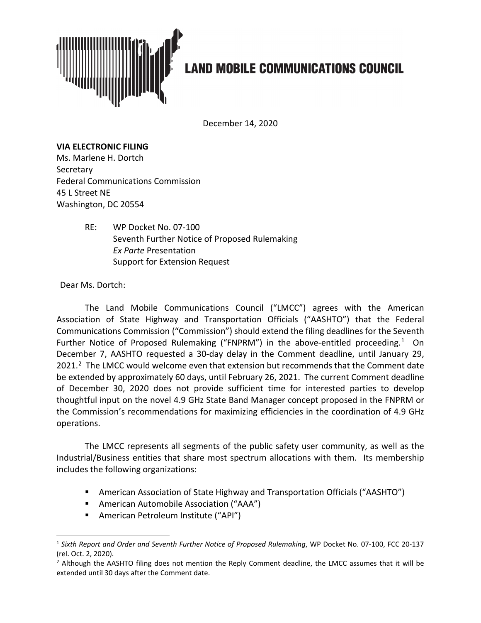

## **LAND MOBILE COMMUNICATIONS COUNCIL**

December 14, 2020

## **VIA ELECTRONIC FILING**

Ms. Marlene H. Dortch **Secretary** Federal Communications Commission 45 L Street NE Washington, DC 20554

> RE: WP Docket No. 07-100 Seventh Further Notice of Proposed Rulemaking *Ex Parte* Presentation Support for Extension Request

Dear Ms. Dortch:

The Land Mobile Communications Council ("LMCC") agrees with the American Association of State Highway and Transportation Officials ("AASHTO") that the Federal Communications Commission ("Commission") should extend the filing deadlines for the Seventh Further Notice of Proposed Rulemaking ("FNPRM") in the above-entitled proceeding.<sup>1</sup> On December 7, AASHTO requested a 30-day delay in the Comment deadline, until January 29, 2021.<sup>2</sup> The LMCC would welcome even that extension but recommends that the Comment date be extended by approximately 60 days, until February 26, 2021. The current Comment deadline of December 30, 2020 does not provide sufficient time for interested parties to develop thoughtful input on the novel 4.9 GHz State Band Manager concept proposed in the FNPRM or the Commission's recommendations for maximizing efficiencies in the coordination of 4.9 GHz operations.

The LMCC represents all segments of the public safety user community, as well as the Industrial/Business entities that share most spectrum allocations with them. Its membership includes the following organizations:

- American Association of State Highway and Transportation Officials ("AASHTO")
- American Automobile Association ("AAA")
- **American Petroleum Institute ("API")**

<span id="page-0-0"></span><sup>1</sup> *Sixth Report and Order and Seventh Further Notice of Proposed Rulemaking*, WP Docket No. 07-100, FCC 20-137 (rel. Oct. 2, 2020).

<span id="page-0-1"></span> $<sup>2</sup>$  Although the AASHTO filing does not mention the Reply Comment deadline, the LMCC assumes that it will be</sup> extended until 30 days after the Comment date.